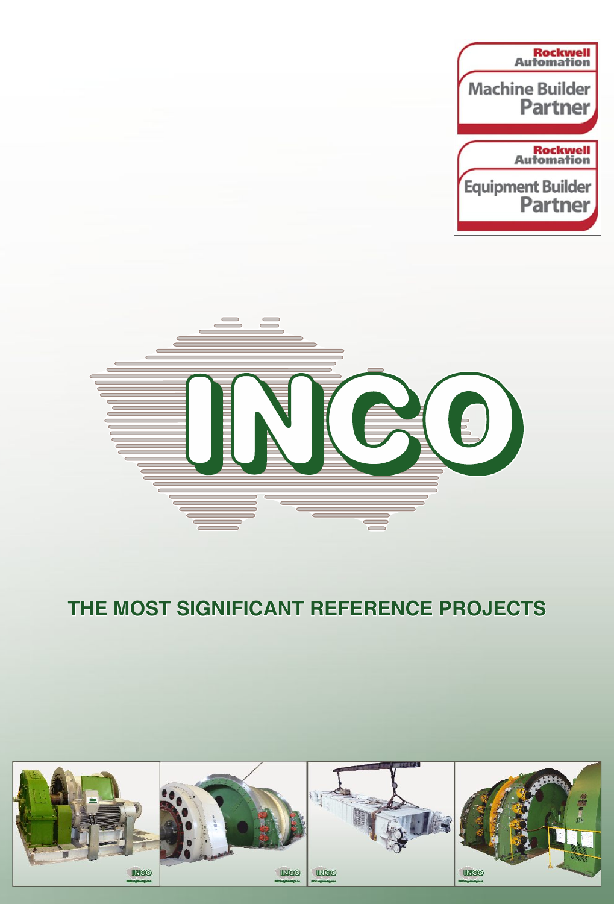



## **THE MOST SIGNIFICANT REFERENCE PROJECTS**

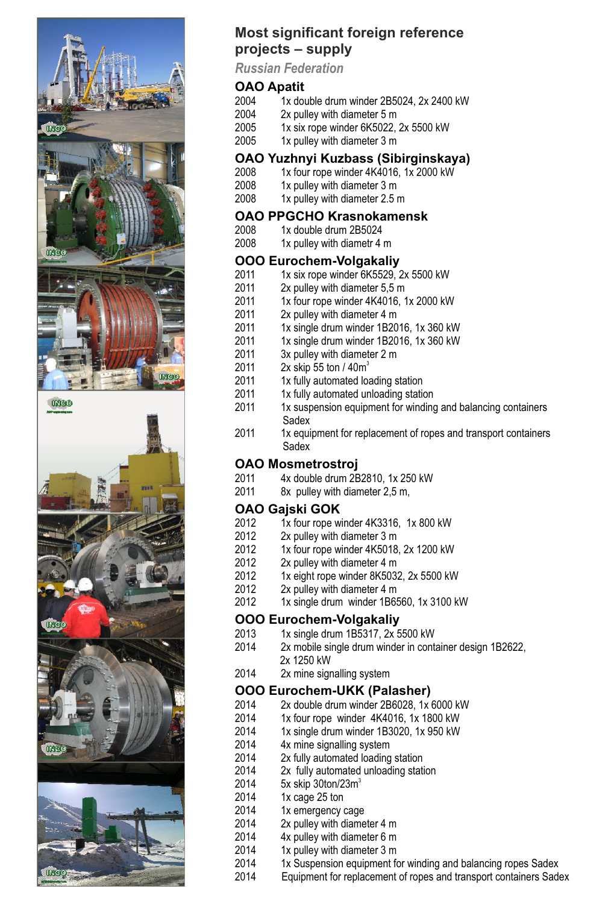



**INGO** 

#### *Russian Federation* **OAO Apatit**<br>2004 1x dou

**projects – supply**

2004 1x double drum winder 2B5024, 2x 2400 kW<br>2004 2x pulley with diameter 5 m

**Most significant foreign reference** 

- 2004 2x pulley with diameter 5 m<br>2005 2x six rope winder 6K5022
- 2005 1x six rope winder 6K5022, 2x 5500 kW<br>2005 1x pulley with diameter 3 m
	- 1x pulley with diameter 3 m

#### **OAO Yuzhnyi Kuzbass (Sibirginskaya)**

- 2008 1x four rope winder 4K4016, 1x 2000 kW<br>2008 1x pulley with diameter 3 m
- 2008 1x pulley with diameter 3 m<br>2008 1x pulley with diameter 2.5
- $1x$  pulley with diameter 2.5 m

#### **OAO PPGCHO Krasnokamensk**<br>2008 1x double drum 2B5024

- 2008 1x double drum 2B5024<br>2008 1x pulley with diametr 4
- $1x$  pulley with diametr 4 m

#### **OOO Eurochem-Volgakaliy**<br>2011 1x six rope winder 6K5529

- 2011 1x six rope winder 6K5529, 2x 5500 kW<br>2011 2x pulley with diameter 5.5 m
- 2011 2x pulley with diameter 5,5 m<br>2011 1x four rope winder 4K4016.1
- 2011 1x four rope winder 4K4016, 1x 2000 kW<br>2011 2x pulley with diameter 4 m
- 2011 2x pulley with diameter 4 m<br>2011 1x single drum winder 1B20
- 2011 1x single drum winder 1B2016, 1x 360 kW<br>2011 1x single drum winder 1B2016, 1x 360 kW
- 2011 1x single drum winder 1B2016, 1x 360 kW<br>2011 3x pulley with diameter 2 m
- 2011 3x pulley with diameter 2 m<br>2011 2x skip 55 ton / 40m<sup>3</sup>
- 2011 2x skip 55 ton / 40m<sup>3</sup>
- 2011 1x fully automated loading station<br>2011 1x fully automated unloading station
- 2011 1x fully automated unloading station<br>2011 1x suspension equipment for winding
- 1x suspension equipment for winding and balancing containers Sadex<br>2011 1x equi
- 1x equipment for replacement of ropes and transport containers Sadex

## **OAO Mosmetrostroj**

- 2011  $4x$  double drum 2B2810, 1x 250 kW<br>2011  $8x$  pullev with diameter 2.5 m.
- 8x pulley with diameter 2,5 m,

### **OAO Gajski GOK**<br>2012 1x four rope w

- 2012 1x four rope winder 4K3316, 1x 800 kW<br>2012 2x pulley with diameter 3 m
- 2012 2x pulley with diameter 3 m<br>2012 1x four rope winder 4K5018
- 2012 1x four rope winder 4K5018, 2x 1200 kW<br>2012 2x pullev with diameter 4 m
- 2012 2x pulley with diameter 4 m<br>2012 1x eight rope winder 8K503
- 2012 1x eight rope winder 8K5032, 2x 5500 kW<br>2012 2x pulley with diameter 4 m
- 2012 2x pulley with diameter 4 m<br>2012 1x single drum winder 1B69
- 1x single drum winder 1B6560, 1x 3100 kW

### **OOO Eurochem-Volgakaliy**<br>2013 1x single drum 1B5317, 2x 5

- $2013$  1x single drum 1B5317,  $2x$  5500 kW<br> $2014$  2x mobile single drum winder in cont
- 2x mobile single drum winder in container design 1B2622, 2x 1250 kW<br>2014 2x mine sign
	- 2x mine signalling system

## **OOO Eurochem-UKK (Palasher)**<br>2014 2x double drum winder 2B6028. 1x

- 2014 2x double drum winder 2B6028, 1x 6000 kW<br>2014 1x four rope winder 4K4016, 1x 1800 kW
- 1x four rope winder 4K4016, 1x 1800 kW
- 2014 1x single drum winder 1B3020, 1x 950 kW
- 2014 4x mine signalling system
- 2014 2x fully automated loading station<br>2014 2x fully automated unloading stati
- 2014 2x fully automated unloading station<br>2014 5x skin 30ton/23m<sup>3</sup>
- 2014 5x skip 30ton/23m<sup>3</sup>
- 2014 1x cage 25 ton<br>2014 1x emergency
- 1x emergency cage
- 2014 2x pulley with diameter 4 m<br>2014 4x pulley with diameter 6 m
- 4x pulley with diameter 6 m
- 
- $2014$  1x pulley with diameter 3 m<br> $2014$  1x Suspension equipment for
- 2014 1x Suspension equipment for winding and balancing ropes Sadex<br>2014 Faulpment for replacement of ropes and transport containers Sade Equipment for replacement of ropes and transport containers Sadex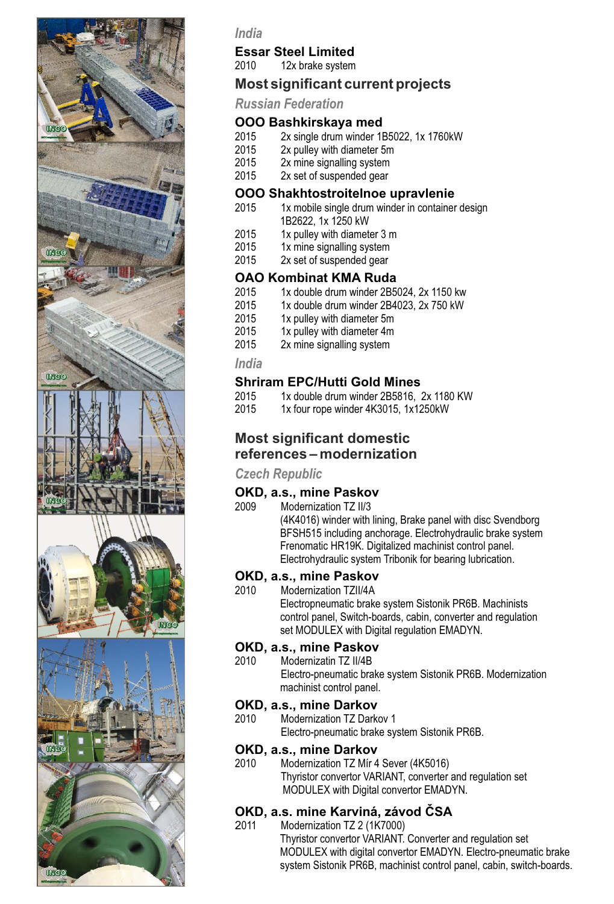

#### *India*

### **Essar Steel Limited**<br>2010 12x brake system

12x brake system

#### **Most significant current projects**

*Russian Federation*

#### **OOO Bashkirskaya med**<br>2015 - 2x single drum winder 1F

- 2015 2x single drum winder 1B5022, 1x 1760kW<br>2015 2x pulley with diameter 5m
- 2015 2x pulley with diameter 5m<br>2015 2x mine signalling system
- 2015 2x mine signalling system<br>2015 2x set of suspended gear
- 2x set of suspended gear

#### **OOO Shakhtostroitelnoe upravlenie**

- 1x mobile single drum winder in container design 1B2622, 1x 1250 kW<br>2015 1x pulley with diamet
- 2015 1x pulley with diameter 3 m<br>2015 1x mine signalling system
- 2015 1x mine signalling system<br>2015 2x set of suspended gear
- 2x set of suspended gear

### **OAO Kombinat KMA Ruda**<br>2015 1x double drum winder 2B5

- 2015 1x double drum winder 2B5024, 2x 1150 kw<br>2015 2x double drum winder 2B4023, 2x 750 kW
- 2015 1x double drum winder 2B4023, 2x 750 kW<br>2015 1x pullev with diameter 5m
- 2015 1x pulley with diameter 5m<br>2015 1x pulley with diameter 4m
- $2015$  1x pulley with diameter 4m<br> $2015$  2x mine signalling system
- 2x mine signalling system

#### *India*

#### **Shriram EPC/Hutti Gold Mines**<br>2015 1x double drum winder 2B5816

- 2015 1x double drum winder 2B5816, 2x 1180 KW<br>2015 1x four rone winder 4K3015 1x1250kW
- 1x four rope winder 4K3015, 1x1250kW

#### **Most significant domestic references – modernization**

#### *Czech Republic*

### **OKD, a.s., mine Paskov**<br>2009 Modernization TZ II/3

2009 Modernization TZ II/3 (4K4016) winder with lining, Brake panel with disc Svendborg BFSH515 including anchorage. Electrohydraulic brake system Frenomatic HR19K. Digitalized machinist control panel. Electrohydraulic system Tribonik for bearing lubrication.

#### **OKD, a.s., mine Paskov**<br>2010 Modernization T7II/4A

Modernization TZII/4A

 Electropneumatic brake system Sistonik PR6B. Machinists control panel, Switch-boards, cabin, converter and regulation set MODULEX with Digital regulation EMADYN.

#### **OKD, a.s., mine Paskov**<br>2010 Modernizatin TZ II/4B

Modernizatin TZ II/4B Electro-pneumatic brake system Sistonik PR6B. Modernization machinist control panel.

### **OKD, a.s., mine Darkov**<br>2010 Modernization TZ Dark

Modernization TZ Darkov 1 Electro-pneumatic brake system Sistonik PR6B.

### **OKD, a.s., mine Darkov**<br>2010 Modernization T7 Mir 4

Modernization TZ Mír 4 Sever (4K5016) Thyristor convertor VARIANT, converter and regulation set MODULEX with Digital convertor EMADYN.

#### **OKD, a.s. mine Karviná, závod ČSA**

2011 Modernization TZ 2 (1K7000) Thyristor convertor VARIANT. Converter and regulation set MODULEX with digital convertor EMADYN. Electro-pneumatic brake system Sistonik PR6B, machinist control panel, cabin, switch-boards.